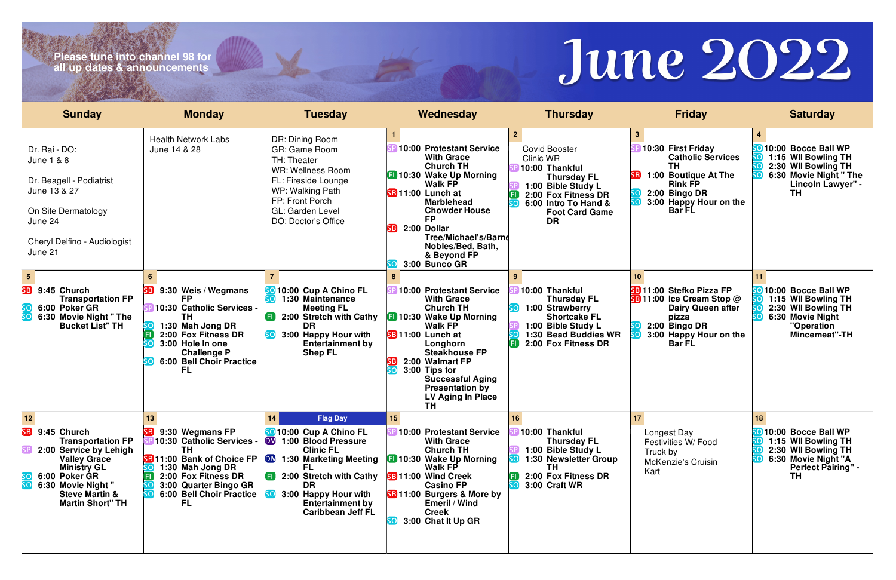# **Please tune into channel 98 for all up dates & announcements**

| <b>Sunday</b>                                                                                                                                                                                                             | <b>Monday</b>                                                                                                                                                                                            | <b>Tuesday</b>                                                                                                                                                                                                                                                                       | Wednesday                                                                                                                                                                                                                                                                                               | <b>Thursday</b>                                                                                                                                                                                        | <b>Friday</b>                                                                                                                                                                     | <b>Saturday</b>                                                                                                                    |
|---------------------------------------------------------------------------------------------------------------------------------------------------------------------------------------------------------------------------|----------------------------------------------------------------------------------------------------------------------------------------------------------------------------------------------------------|--------------------------------------------------------------------------------------------------------------------------------------------------------------------------------------------------------------------------------------------------------------------------------------|---------------------------------------------------------------------------------------------------------------------------------------------------------------------------------------------------------------------------------------------------------------------------------------------------------|--------------------------------------------------------------------------------------------------------------------------------------------------------------------------------------------------------|-----------------------------------------------------------------------------------------------------------------------------------------------------------------------------------|------------------------------------------------------------------------------------------------------------------------------------|
| Dr. Rai - DO:<br><b>June 1 &amp; 8</b><br>Dr. Beagell - Podiatrist<br>June 13 & 27<br>On Site Dermatology<br>June 24<br>Cheryl Delfino - Audiologist<br>June 21                                                           | <b>Health Network Labs</b><br>June 14 & 28                                                                                                                                                               | DR: Dining Room<br><b>GR: Game Room</b><br>TH: Theater<br><b>WR: Wellness Room</b><br>FL: Fireside Lounge<br>WP: Walking Path<br>FP: Front Porch<br>GL: Garden Level<br><b>DO: Doctor's Office</b>                                                                                   | 10:00 Protestant Service<br><b>With Grace</b><br><b>Church TH</b><br><b>El 10:30 Wake Up Morning</b><br><b>Walk FP</b><br>SB 11:00 Lunch at<br><b>Marblehead</b><br><b>Chowder House</b><br><b>FP</b><br>2:00 Dollar<br>۲R<br>Tree/Michael's/Barne<br>Nobles/Bed, Bath,<br>& Beyond FP<br>3:00 Bunco GR | 2 <sup>1</sup><br><b>Covid Booster</b><br>Clinic WR<br>10:00 Thankful<br><b>Thursday FL</b><br>1:00 Bible Study L<br>2:00 Fox Fitness DR<br>6:00 Intro To Hand &<br><b>Foot Card Game</b><br><b>DR</b> | 10:30 First Friday<br><b>Catholic Services</b><br>ΤH<br><b>SB</b> 1:00 Boutique At The<br><b>Rink FP</b><br>2:00 Bingo DR<br>3:00 Happy Hour on the<br><b>Bar FL</b>              | 10:00 Bocce Ball WP<br>1:15 WII Bowling TH<br>2:30 WII Bowling TH<br>6:30 Movie Night " The<br>Lincoln Lawyer" -<br>TН             |
| SB<br>9:45 Church<br><b>Transportation FP</b><br>6:00 Poker GR<br>6:30 Movie Night "The<br><b>Bucket List" TH</b>                                                                                                         | 9:30 Weis / Wegmans<br>SB)<br>FP<br>10:30 Catholic Services -<br>тн<br>1:30 Mah Jong DR<br>2:00 Fox Fitness DR<br>3:00 Hole In one<br><b>Challenge P</b><br>6:00 Bell Choir Practice<br><b>FL</b>        | 10:00 Cup A Chino FL<br>1:30 Maintenance<br><b>Meeting FL</b><br>2:00 Stretch with Cathy<br><b>DR</b><br>3:00 Happy Hour with<br><b>Entertainment by</b><br><b>Shep FL</b>                                                                                                           | 10:00 Protestant Service<br><b>With Grace</b><br><b>Church TH</b><br><b>10:30 Wake Up Morning</b><br><b>Walk FP</b><br>SB 11:00 Lunch at<br>Longhorn<br><b>Steakhouse FP</b><br>2:00 Walmart FP<br>3:00 Tips for<br><b>Successful Aging</b><br><b>Presentation by</b><br>LV Aging In Place<br><b>TH</b> | 10:00 Thankful<br><b>Thursday FL</b><br>1:00 Strawberry<br><b>Shortcake FL</b><br>1:00 Bible Study L<br>1:30 Bead Buddies WR<br>2:00 Fox Fitness DR                                                    | 10 <sup>1</sup><br>SB 11:00 Stefko Pizza FP<br><b>SB</b> 11:00 Ice Cream Stop $@$<br><b>Dairy Queen after</b><br>pizza<br>2:00 Bingo DR<br>3:00 Happy Hour on the<br><b>BarFL</b> | 10:00 Bocce Ball WP<br>1:15 WII Bowling TH<br>2:30 WII Bowling TH<br>6:30 Movie Night<br>"Operation<br>Mincemeat"-TH               |
| 12<br>SB)<br>9:45 Church<br><b>Transportation FP</b><br>2:00 Service by Lehigh<br><b>Valley Grace</b><br><b>Ministry GL</b><br>6:00 Poker GR<br>6:30 Movie Night"<br><b>Steve Martin &amp;</b><br><b>Martin Short" TH</b> | 13<br>SB 9:30 Wegmans FP<br>10:30 Catholic Services -<br>TH.<br><b>SB</b> 11:00 Bank of Choice FP<br>1:30 Mah Jong DR<br>2:00 Fox Fitness DR<br>3:00 Quarter Bingo GR<br>6:00 Bell Choir Practice<br>FL. | 14<br><b>Flag Day</b><br><b>SO</b> 10:00 Cup A Chino FL<br>1:00 Blood Pressure<br><b>DV</b><br><b>Clinic FL</b><br><b>DM</b> 1:30 Marketing Meeting<br>FL.<br><b>ED</b> 2:00 Stretch with Cathy<br>DR<br>3:00 Happy Hour with<br><b>Entertainment by</b><br><b>Caribbean Jeff FL</b> | 15 <sub>1</sub><br>10:00 Protestant Service<br><b>With Grace</b><br><b>Church TH</b><br><b>10:30 Wake Up Morning</b><br><b>Walk FP</b><br><b>SB 11:00 Wind Creek</b><br><b>Casino FP</b><br><b>SB</b> 11:00 Burgers & More by<br><b>Emeril / Wind</b><br><b>Creek</b><br>3:00 Chat It Up GR             | 16<br>SP 10:00 Thankful<br><b>Thursday FL</b><br>1:00 Bible Study L<br>1:30 Newsletter Group<br>TH.<br>2:00 Fox Fitness DR<br>3:00 Craft WR                                                            | 17<br>Longest Day<br>Festivities W/ Food<br>Truck by<br><b>McKenzie's Cruisin</b><br>Kart                                                                                         | 18<br>010:00 Bocce Ball WP<br>1:15 WII Bowling TH<br>2:30 WII Bowling TH<br>6:30 Movie Night "A<br><b>Perfect Pairing" -</b><br>ΤH |